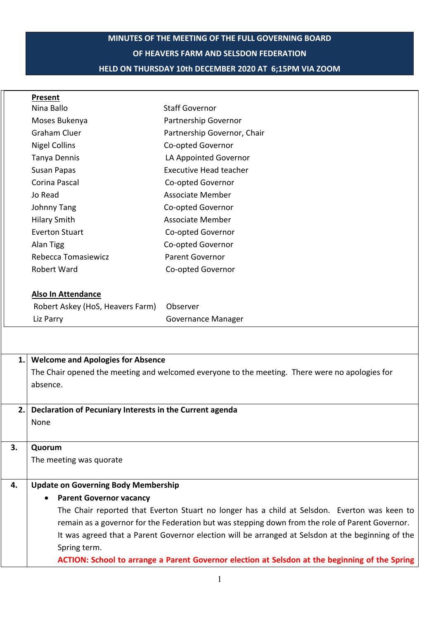# **MINUTES OF THE MEETING OF THE FULL GOVERNING BOARD OF HEAVERS FARM AND SELSDON FEDERATION HELD ON THURSDAY 10th DECEMBER 2020 AT 6;15PM VIA ZOOM**

| Partnership Governor<br>Moses Bukenya<br><b>Graham Cluer</b><br>Partnership Governor, Chair<br><b>Nigel Collins</b><br>Co-opted Governor<br>LA Appointed Governor<br>Tanya Dennis<br><b>Executive Head teacher</b><br>Susan Papas<br>Corina Pascal<br>Co-opted Governor<br>Jo Read<br><b>Associate Member</b><br>Co-opted Governor<br><b>Johnny Tang</b><br><b>Associate Member</b><br><b>Hilary Smith</b><br><b>Everton Stuart</b><br>Co-opted Governor<br>Alan Tigg<br>Co-opted Governor<br>Rebecca Tomasiewicz<br>Parent Governor<br><b>Robert Ward</b><br>Co-opted Governor<br><b>Also In Attendance</b><br>Robert Askey (HoS, Heavers Farm)<br>Observer<br>Liz Parry<br><b>Governance Manager</b><br><b>Welcome and Apologies for Absence</b><br>1.<br>The Chair opened the meeting and welcomed everyone to the meeting. There were no apologies for<br>absence.<br>Declaration of Pecuniary Interests in the Current agenda<br>2.<br>None<br>3.<br>Quorum<br>The meeting was quorate<br><b>Update on Governing Body Membership</b><br>4.<br><b>Parent Governor vacancy</b><br>The Chair reported that Everton Stuart no longer has a child at Selsdon. Everton was keen to<br>remain as a governor for the Federation but was stepping down from the role of Parent Governor.<br>It was agreed that a Parent Governor election will be arranged at Selsdon at the beginning of the |  | Present    |                       |  |
|-------------------------------------------------------------------------------------------------------------------------------------------------------------------------------------------------------------------------------------------------------------------------------------------------------------------------------------------------------------------------------------------------------------------------------------------------------------------------------------------------------------------------------------------------------------------------------------------------------------------------------------------------------------------------------------------------------------------------------------------------------------------------------------------------------------------------------------------------------------------------------------------------------------------------------------------------------------------------------------------------------------------------------------------------------------------------------------------------------------------------------------------------------------------------------------------------------------------------------------------------------------------------------------------------------------------------------------------------------------------------------------------|--|------------|-----------------------|--|
|                                                                                                                                                                                                                                                                                                                                                                                                                                                                                                                                                                                                                                                                                                                                                                                                                                                                                                                                                                                                                                                                                                                                                                                                                                                                                                                                                                                           |  | Nina Ballo | <b>Staff Governor</b> |  |
|                                                                                                                                                                                                                                                                                                                                                                                                                                                                                                                                                                                                                                                                                                                                                                                                                                                                                                                                                                                                                                                                                                                                                                                                                                                                                                                                                                                           |  |            |                       |  |
|                                                                                                                                                                                                                                                                                                                                                                                                                                                                                                                                                                                                                                                                                                                                                                                                                                                                                                                                                                                                                                                                                                                                                                                                                                                                                                                                                                                           |  |            |                       |  |
|                                                                                                                                                                                                                                                                                                                                                                                                                                                                                                                                                                                                                                                                                                                                                                                                                                                                                                                                                                                                                                                                                                                                                                                                                                                                                                                                                                                           |  |            |                       |  |
|                                                                                                                                                                                                                                                                                                                                                                                                                                                                                                                                                                                                                                                                                                                                                                                                                                                                                                                                                                                                                                                                                                                                                                                                                                                                                                                                                                                           |  |            |                       |  |
|                                                                                                                                                                                                                                                                                                                                                                                                                                                                                                                                                                                                                                                                                                                                                                                                                                                                                                                                                                                                                                                                                                                                                                                                                                                                                                                                                                                           |  |            |                       |  |
|                                                                                                                                                                                                                                                                                                                                                                                                                                                                                                                                                                                                                                                                                                                                                                                                                                                                                                                                                                                                                                                                                                                                                                                                                                                                                                                                                                                           |  |            |                       |  |
|                                                                                                                                                                                                                                                                                                                                                                                                                                                                                                                                                                                                                                                                                                                                                                                                                                                                                                                                                                                                                                                                                                                                                                                                                                                                                                                                                                                           |  |            |                       |  |
|                                                                                                                                                                                                                                                                                                                                                                                                                                                                                                                                                                                                                                                                                                                                                                                                                                                                                                                                                                                                                                                                                                                                                                                                                                                                                                                                                                                           |  |            |                       |  |
|                                                                                                                                                                                                                                                                                                                                                                                                                                                                                                                                                                                                                                                                                                                                                                                                                                                                                                                                                                                                                                                                                                                                                                                                                                                                                                                                                                                           |  |            |                       |  |
|                                                                                                                                                                                                                                                                                                                                                                                                                                                                                                                                                                                                                                                                                                                                                                                                                                                                                                                                                                                                                                                                                                                                                                                                                                                                                                                                                                                           |  |            |                       |  |
|                                                                                                                                                                                                                                                                                                                                                                                                                                                                                                                                                                                                                                                                                                                                                                                                                                                                                                                                                                                                                                                                                                                                                                                                                                                                                                                                                                                           |  |            |                       |  |
|                                                                                                                                                                                                                                                                                                                                                                                                                                                                                                                                                                                                                                                                                                                                                                                                                                                                                                                                                                                                                                                                                                                                                                                                                                                                                                                                                                                           |  |            |                       |  |
|                                                                                                                                                                                                                                                                                                                                                                                                                                                                                                                                                                                                                                                                                                                                                                                                                                                                                                                                                                                                                                                                                                                                                                                                                                                                                                                                                                                           |  |            |                       |  |
|                                                                                                                                                                                                                                                                                                                                                                                                                                                                                                                                                                                                                                                                                                                                                                                                                                                                                                                                                                                                                                                                                                                                                                                                                                                                                                                                                                                           |  |            |                       |  |
|                                                                                                                                                                                                                                                                                                                                                                                                                                                                                                                                                                                                                                                                                                                                                                                                                                                                                                                                                                                                                                                                                                                                                                                                                                                                                                                                                                                           |  |            |                       |  |
|                                                                                                                                                                                                                                                                                                                                                                                                                                                                                                                                                                                                                                                                                                                                                                                                                                                                                                                                                                                                                                                                                                                                                                                                                                                                                                                                                                                           |  |            |                       |  |
|                                                                                                                                                                                                                                                                                                                                                                                                                                                                                                                                                                                                                                                                                                                                                                                                                                                                                                                                                                                                                                                                                                                                                                                                                                                                                                                                                                                           |  |            |                       |  |
|                                                                                                                                                                                                                                                                                                                                                                                                                                                                                                                                                                                                                                                                                                                                                                                                                                                                                                                                                                                                                                                                                                                                                                                                                                                                                                                                                                                           |  |            |                       |  |
|                                                                                                                                                                                                                                                                                                                                                                                                                                                                                                                                                                                                                                                                                                                                                                                                                                                                                                                                                                                                                                                                                                                                                                                                                                                                                                                                                                                           |  |            |                       |  |
|                                                                                                                                                                                                                                                                                                                                                                                                                                                                                                                                                                                                                                                                                                                                                                                                                                                                                                                                                                                                                                                                                                                                                                                                                                                                                                                                                                                           |  |            |                       |  |
|                                                                                                                                                                                                                                                                                                                                                                                                                                                                                                                                                                                                                                                                                                                                                                                                                                                                                                                                                                                                                                                                                                                                                                                                                                                                                                                                                                                           |  |            |                       |  |
|                                                                                                                                                                                                                                                                                                                                                                                                                                                                                                                                                                                                                                                                                                                                                                                                                                                                                                                                                                                                                                                                                                                                                                                                                                                                                                                                                                                           |  |            |                       |  |
|                                                                                                                                                                                                                                                                                                                                                                                                                                                                                                                                                                                                                                                                                                                                                                                                                                                                                                                                                                                                                                                                                                                                                                                                                                                                                                                                                                                           |  |            |                       |  |
|                                                                                                                                                                                                                                                                                                                                                                                                                                                                                                                                                                                                                                                                                                                                                                                                                                                                                                                                                                                                                                                                                                                                                                                                                                                                                                                                                                                           |  |            |                       |  |
|                                                                                                                                                                                                                                                                                                                                                                                                                                                                                                                                                                                                                                                                                                                                                                                                                                                                                                                                                                                                                                                                                                                                                                                                                                                                                                                                                                                           |  |            |                       |  |
|                                                                                                                                                                                                                                                                                                                                                                                                                                                                                                                                                                                                                                                                                                                                                                                                                                                                                                                                                                                                                                                                                                                                                                                                                                                                                                                                                                                           |  |            |                       |  |
|                                                                                                                                                                                                                                                                                                                                                                                                                                                                                                                                                                                                                                                                                                                                                                                                                                                                                                                                                                                                                                                                                                                                                                                                                                                                                                                                                                                           |  |            |                       |  |
|                                                                                                                                                                                                                                                                                                                                                                                                                                                                                                                                                                                                                                                                                                                                                                                                                                                                                                                                                                                                                                                                                                                                                                                                                                                                                                                                                                                           |  |            |                       |  |
|                                                                                                                                                                                                                                                                                                                                                                                                                                                                                                                                                                                                                                                                                                                                                                                                                                                                                                                                                                                                                                                                                                                                                                                                                                                                                                                                                                                           |  |            |                       |  |
|                                                                                                                                                                                                                                                                                                                                                                                                                                                                                                                                                                                                                                                                                                                                                                                                                                                                                                                                                                                                                                                                                                                                                                                                                                                                                                                                                                                           |  |            |                       |  |
|                                                                                                                                                                                                                                                                                                                                                                                                                                                                                                                                                                                                                                                                                                                                                                                                                                                                                                                                                                                                                                                                                                                                                                                                                                                                                                                                                                                           |  |            |                       |  |
|                                                                                                                                                                                                                                                                                                                                                                                                                                                                                                                                                                                                                                                                                                                                                                                                                                                                                                                                                                                                                                                                                                                                                                                                                                                                                                                                                                                           |  |            |                       |  |
|                                                                                                                                                                                                                                                                                                                                                                                                                                                                                                                                                                                                                                                                                                                                                                                                                                                                                                                                                                                                                                                                                                                                                                                                                                                                                                                                                                                           |  |            |                       |  |
|                                                                                                                                                                                                                                                                                                                                                                                                                                                                                                                                                                                                                                                                                                                                                                                                                                                                                                                                                                                                                                                                                                                                                                                                                                                                                                                                                                                           |  |            |                       |  |
| Spring term.                                                                                                                                                                                                                                                                                                                                                                                                                                                                                                                                                                                                                                                                                                                                                                                                                                                                                                                                                                                                                                                                                                                                                                                                                                                                                                                                                                              |  |            |                       |  |

**ACTION: School to arrange a Parent Governor election at Selsdon at the beginning of the Spring**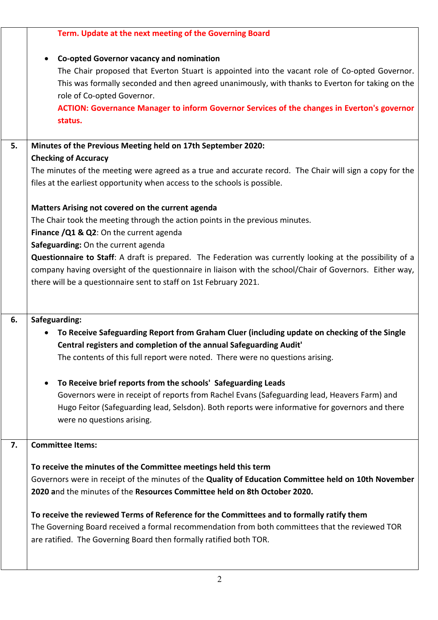|    | Term. Update at the next meeting of the Governing Board                                                   |  |  |
|----|-----------------------------------------------------------------------------------------------------------|--|--|
|    | Co-opted Governor vacancy and nomination<br>$\bullet$                                                     |  |  |
|    | The Chair proposed that Everton Stuart is appointed into the vacant role of Co-opted Governor.            |  |  |
|    | This was formally seconded and then agreed unanimously, with thanks to Everton for taking on the          |  |  |
|    | role of Co-opted Governor.                                                                                |  |  |
|    | ACTION: Governance Manager to inform Governor Services of the changes in Everton's governor               |  |  |
|    | status.                                                                                                   |  |  |
| 5. | Minutes of the Previous Meeting held on 17th September 2020:                                              |  |  |
|    | <b>Checking of Accuracy</b>                                                                               |  |  |
|    | The minutes of the meeting were agreed as a true and accurate record. The Chair will sign a copy for the  |  |  |
|    | files at the earliest opportunity when access to the schools is possible.                                 |  |  |
|    | Matters Arising not covered on the current agenda                                                         |  |  |
|    | The Chair took the meeting through the action points in the previous minutes.                             |  |  |
|    | Finance /Q1 & Q2: On the current agenda                                                                   |  |  |
|    | Safeguarding: On the current agenda                                                                       |  |  |
|    | Questionnaire to Staff: A draft is prepared. The Federation was currently looking at the possibility of a |  |  |
|    | company having oversight of the questionnaire in liaison with the school/Chair of Governors. Either way,  |  |  |
|    | there will be a questionnaire sent to staff on 1st February 2021.                                         |  |  |
|    |                                                                                                           |  |  |
| 6. | Safeguarding:                                                                                             |  |  |
|    | To Receive Safeguarding Report from Graham Cluer (including update on checking of the Single<br>$\bullet$ |  |  |
|    | Central registers and completion of the annual Safeguarding Audit'                                        |  |  |
|    | The contents of this full report were noted. There were no questions arising.                             |  |  |
|    |                                                                                                           |  |  |
|    | To Receive brief reports from the schools' Safeguarding Leads<br>$\bullet$                                |  |  |
|    | Governors were in receipt of reports from Rachel Evans (Safeguarding lead, Heavers Farm) and              |  |  |
|    | Hugo Feitor (Safeguarding lead, Selsdon). Both reports were informative for governors and there           |  |  |
|    | were no questions arising.                                                                                |  |  |
| 7. | <b>Committee Items:</b>                                                                                   |  |  |
|    |                                                                                                           |  |  |
|    | To receive the minutes of the Committee meetings held this term                                           |  |  |
|    | Governors were in receipt of the minutes of the Quality of Education Committee held on 10th November      |  |  |
|    | 2020 and the minutes of the Resources Committee held on 8th October 2020.                                 |  |  |
|    | To receive the reviewed Terms of Reference for the Committees and to formally ratify them                 |  |  |
|    | The Governing Board received a formal recommendation from both committees that the reviewed TOR           |  |  |
|    | are ratified. The Governing Board then formally ratified both TOR.                                        |  |  |
|    |                                                                                                           |  |  |
|    |                                                                                                           |  |  |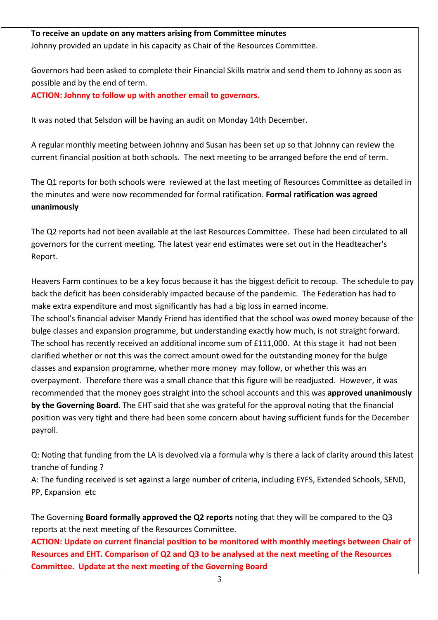### **To receive an update on any matters arising from Committee minutes**

Johnny provided an update in his capacity as Chair of the Resources Committee.

Governors had been asked to complete their Financial Skills matrix and send them to Johnny as soon as possible and by the end of term.

**ACTION: Johnny to follow up with another email to governors.**

It was noted that Selsdon will be having an audit on Monday 14th December.

A regular monthly meeting between Johnny and Susan has been set up so that Johnny can review the current financial position at both schools. The next meeting to be arranged before the end of term.

The Q1 reports for both schools were reviewed at the last meeting of Resources Committee as detailed in the minutes and were now recommended for formal ratification. **Formal ratification was agreed unanimously**

The Q2 reports had not been available at the last Resources Committee. These had been circulated to all governors for the current meeting. The latest year end estimates were set out in the Headteacher's Report.

Heavers Farm continues to be a key focus because it has the biggest deficit to recoup. The schedule to pay back the deficit has been considerably impacted because of the pandemic. The Federation has had to make extra expenditure and most significantly has had a big loss in earned income. The school's financial adviser Mandy Friend has identified that the school was owed money because of the bulge classes and expansion programme, but understanding exactly how much, is not straight forward. The school has recently received an additional income sum of £111,000. At this stage it had not been clarified whether or not this was the correct amount owed for the outstanding money for the bulge classes and expansion programme, whether more money may follow, or whether this was an overpayment. Therefore there was a small chance that this figure will be readjusted. However, it was recommended that the money goes straight into the school accounts and this was **approved unanimously by the Governing Board**. The EHT said that she was grateful for the approval noting that the financial position was very tight and there had been some concern about having sufficient funds for the December payroll.

Q: Noting that funding from the LA is devolved via a formula why is there a lack of clarity around this latest tranche of funding ?

A: The funding received is set against a large number of criteria, including EYFS, Extended Schools, SEND, PP, Expansion etc

The Governing **Board formally approved the Q2 reports** noting that they will be compared to the Q3 reports at the next meeting of the Resources Committee.

**ACTION: Update on current financial position to be monitored with monthly meetings between Chair of Resources and EHT. Comparison of Q2 and Q3 to be analysed at the next meeting of the Resources Committee. Update at the next meeting of the Governing Board**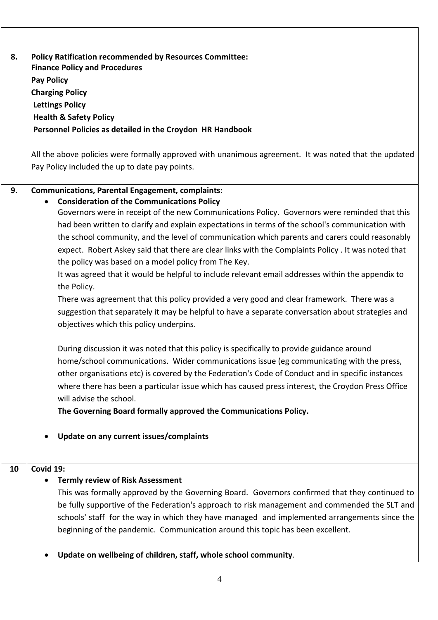| 8. | <b>Policy Ratification recommended by Resources Committee:</b><br><b>Finance Policy and Procedures</b>                                                          |  |  |
|----|-----------------------------------------------------------------------------------------------------------------------------------------------------------------|--|--|
|    |                                                                                                                                                                 |  |  |
|    | <b>Pay Policy</b>                                                                                                                                               |  |  |
|    | <b>Charging Policy</b>                                                                                                                                          |  |  |
|    | <b>Lettings Policy</b>                                                                                                                                          |  |  |
|    | <b>Health &amp; Safety Policy</b>                                                                                                                               |  |  |
|    | Personnel Policies as detailed in the Croydon HR Handbook                                                                                                       |  |  |
|    | All the above policies were formally approved with unanimous agreement. It was noted that the updated                                                           |  |  |
|    | Pay Policy included the up to date pay points.                                                                                                                  |  |  |
| 9. | <b>Communications, Parental Engagement, complaints:</b>                                                                                                         |  |  |
|    | <b>Consideration of the Communications Policy</b><br>$\bullet$<br>Governors were in receipt of the new Communications Policy. Governors were reminded that this |  |  |
|    | had been written to clarify and explain expectations in terms of the school's communication with                                                                |  |  |
|    | the school community, and the level of communication which parents and carers could reasonably                                                                  |  |  |
|    | expect. Robert Askey said that there are clear links with the Complaints Policy . It was noted that                                                             |  |  |
|    | the policy was based on a model policy from The Key.                                                                                                            |  |  |
|    | It was agreed that it would be helpful to include relevant email addresses within the appendix to                                                               |  |  |
|    | the Policy.                                                                                                                                                     |  |  |
|    | There was agreement that this policy provided a very good and clear framework. There was a                                                                      |  |  |
|    | suggestion that separately it may be helpful to have a separate conversation about strategies and                                                               |  |  |
|    | objectives which this policy underpins.                                                                                                                         |  |  |
|    | During discussion it was noted that this policy is specifically to provide guidance around                                                                      |  |  |
|    | home/school communications. Wider communications issue (eg communicating with the press,                                                                        |  |  |
|    | other organisations etc) is covered by the Federation's Code of Conduct and in specific instances                                                               |  |  |
|    | where there has been a particular issue which has caused press interest, the Croydon Press Office                                                               |  |  |
|    | will advise the school.                                                                                                                                         |  |  |
|    | The Governing Board formally approved the Communications Policy.                                                                                                |  |  |
|    | Update on any current issues/complaints<br>$\bullet$                                                                                                            |  |  |
| 10 | Covid 19:                                                                                                                                                       |  |  |
|    | <b>Termly review of Risk Assessment</b><br>$\bullet$                                                                                                            |  |  |
|    | This was formally approved by the Governing Board. Governors confirmed that they continued to                                                                   |  |  |
|    | be fully supportive of the Federation's approach to risk management and commended the SLT and                                                                   |  |  |
|    | schools' staff for the way in which they have managed and implemented arrangements since the                                                                    |  |  |
|    | beginning of the pandemic. Communication around this topic has been excellent.                                                                                  |  |  |
|    | Update on wellbeing of children, staff, whole school community.<br>$\bullet$                                                                                    |  |  |

 $\overline{\phantom{0}}$ 

٦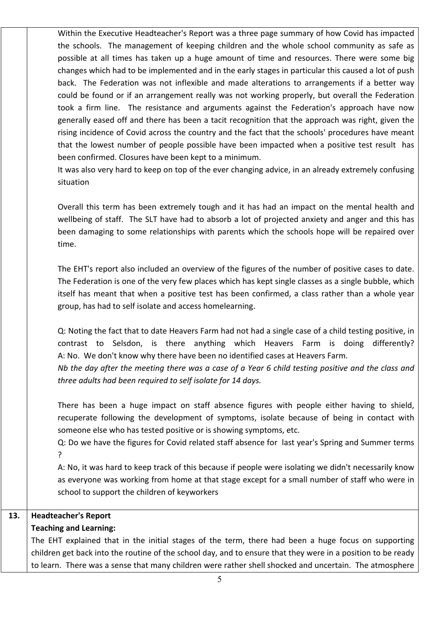Within the Executive Headteacher's Report was a three page summary of how Covid has impacted the schools. The management of keeping children and the whole school community as safe as possible at all times has taken up a huge amount of time and resources. There were some big changes which had to be implemented and in the early stages in particular this caused a lot of push back. The Federation was not inflexible and made alterations to arrangements if a better way could be found or if an arrangement really was not working properly, but overall the Federation took a firm line. The resistance and arguments against the Federation's approach have now generally eased off and there has been a tacit recognition that the approach was right, given the rising incidence of Covid across the country and the fact that the schools' procedures have meant that the lowest number of people possible have been impacted when a positive test result has been confirmed. Closures have been kept to a minimum.

It was also very hard to keep on top of the ever changing advice, in an already extremely confusing situation

Overall this term has been extremely tough and it has had an impact on the mental health and wellbeing of staff. The SLT have had to absorb a lot of projected anxiety and anger and this has been damaging to some relationships with parents which the schools hope will be repaired over time.

The EHT's report also included an overview of the figures of the number of positive cases to date. The Federation is one of the very few places which has kept single classes as a single bubble, which itself has meant that when a positive test has been confirmed, a class rather than a whole year group, has had to self isolate and access homelearning.

Q: Noting the fact that to date Heavers Farm had not had a single case of a child testing positive, in contrast to Selsdon, is there anything which Heavers Farm is doing differently? A: No. We don't know why there have been no identified cases at Heavers Farm. *Nb the day after the meeting there was a case of a Year 6 child testing positive and the class and* 

*three adults had been required to self isolate for 14 days.*

There has been a huge impact on staff absence figures with people either having to shield, recuperate following the development of symptoms, isolate because of being in contact with someone else who has tested positive or is showing symptoms, etc.

Q: Do we have the figures for Covid related staff absence for last year's Spring and Summer terms ?

A: No, it was hard to keep track of this because if people were isolating we didn't necessarily know as everyone was working from home at that stage except for a small number of staff who were in school to support the children of keyworkers

# **13. Headteacher's Report**

### **Teaching and Learning:**

The EHT explained that in the initial stages of the term, there had been a huge focus on supporting children get back into the routine of the school day, and to ensure that they were in a position to be ready to learn. There was a sense that many children were rather shell shocked and uncertain. The atmosphere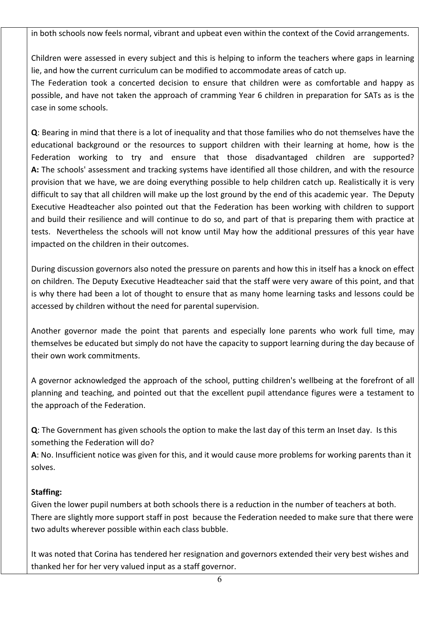in both schools now feels normal, vibrant and upbeat even within the context of the Covid arrangements.

Children were assessed in every subject and this is helping to inform the teachers where gaps in learning lie, and how the current curriculum can be modified to accommodate areas of catch up.

The Federation took a concerted decision to ensure that children were as comfortable and happy as possible, and have not taken the approach of cramming Year 6 children in preparation for SATs as is the case in some schools.

**Q**: Bearing in mind that there is a lot of inequality and that those families who do not themselves have the educational background or the resources to support children with their learning at home, how is the Federation working to try and ensure that those disadvantaged children are supported? **A:** The schools' assessment and tracking systems have identified all those children, and with the resource provision that we have, we are doing everything possible to help children catch up. Realistically it is very difficult to say that all children will make up the lost ground by the end of this academic year. The Deputy Executive Headteacher also pointed out that the Federation has been working with children to support and build their resilience and will continue to do so, and part of that is preparing them with practice at tests. Nevertheless the schools will not know until May how the additional pressures of this year have impacted on the children in their outcomes.

During discussion governors also noted the pressure on parents and how this in itself has a knock on effect on children. The Deputy Executive Headteacher said that the staff were very aware of this point, and that is why there had been a lot of thought to ensure that as many home learning tasks and lessons could be accessed by children without the need for parental supervision.

Another governor made the point that parents and especially lone parents who work full time, may themselves be educated but simply do not have the capacity to support learning during the day because of their own work commitments.

A governor acknowledged the approach of the school, putting children's wellbeing at the forefront of all planning and teaching, and pointed out that the excellent pupil attendance figures were a testament to the approach of the Federation.

**Q**: The Government has given schools the option to make the last day of this term an Inset day. Is this something the Federation will do?

**A**: No. Insufficient notice was given for this, and it would cause more problems for working parents than it solves.

## **Staffing:**

Given the lower pupil numbers at both schools there is a reduction in the number of teachers at both. There are slightly more support staff in post because the Federation needed to make sure that there were two adults wherever possible within each class bubble.

It was noted that Corina has tendered her resignation and governors extended their very best wishes and thanked her for her very valued input as a staff governor.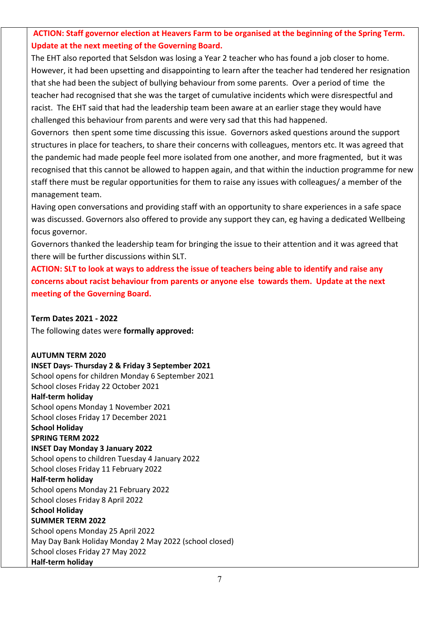## **ACTION: Staff governor election at Heavers Farm to be organised at the beginning of the Spring Term. Update at the next meeting of the Governing Board.**

The EHT also reported that Selsdon was losing a Year 2 teacher who has found a job closer to home. However, it had been upsetting and disappointing to learn after the teacher had tendered her resignation that she had been the subject of bullying behaviour from some parents. Over a period of time the teacher had recognised that she was the target of cumulative incidents which were disrespectful and racist. The EHT said that had the leadership team been aware at an earlier stage they would have challenged this behaviour from parents and were very sad that this had happened.

Governors then spent some time discussing this issue. Governors asked questions around the support structures in place for teachers, to share their concerns with colleagues, mentors etc. It was agreed that the pandemic had made people feel more isolated from one another, and more fragmented, but it was recognised that this cannot be allowed to happen again, and that within the induction programme for new staff there must be regular opportunities for them to raise any issues with colleagues/ a member of the management team.

Having open conversations and providing staff with an opportunity to share experiences in a safe space was discussed. Governors also offered to provide any support they can, eg having a dedicated Wellbeing focus governor.

Governors thanked the leadership team for bringing the issue to their attention and it was agreed that there will be further discussions within SLT.

**ACTION: SLT to look at ways to address the issue of teachers being able to identify and raise any concerns about racist behaviour from parents or anyone else towards them. Update at the next meeting of the Governing Board.**

**Term Dates 2021 - 2022**

The following dates were **formally approved:**

**AUTUMN TERM 2020 INSET Days- Thursday 2 & Friday 3 September 2021**  School opens for children Monday 6 September 2021 School closes Friday 22 October 2021 **Half-term holiday**  School opens Monday 1 November 2021 School closes Friday 17 December 2021 **School Holiday SPRING TERM 2022 INSET Day Monday 3 January 2022**  School opens to children Tuesday 4 January 2022 School closes Friday 11 February 2022 **Half-term holiday**  School opens Monday 21 February 2022 School closes Friday 8 April 2022 **School Holiday SUMMER TERM 2022**  School opens Monday 25 April 2022 May Day Bank Holiday Monday 2 May 2022 (school closed) School closes Friday 27 May 2022 **Half-term holiday**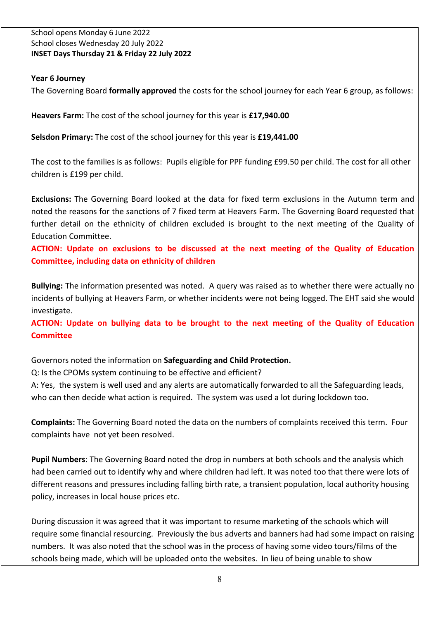School opens Monday 6 June 2022 School closes Wednesday 20 July 2022 **INSET Days Thursday 21 & Friday 22 July 2022**

### **Year 6 Journey**

The Governing Board **formally approved** the costs for the school journey for each Year 6 group, as follows:

**Heavers Farm:** The cost of the school journey for this year is **£17,940.00** 

**Selsdon Primary:** The cost of the school journey for this year is **£19,441.00**

The cost to the families is as follows: Pupils eligible for PPF funding £99.50 per child. The cost for all other children is £199 per child.

**Exclusions:** The Governing Board looked at the data for fixed term exclusions in the Autumn term and noted the reasons for the sanctions of 7 fixed term at Heavers Farm. The Governing Board requested that further detail on the ethnicity of children excluded is brought to the next meeting of the Quality of Education Committee.

**ACTION: Update on exclusions to be discussed at the next meeting of the Quality of Education Committee, including data on ethnicity of children**

**Bullying:** The information presented was noted. A query was raised as to whether there were actually no incidents of bullying at Heavers Farm, or whether incidents were not being logged. The EHT said she would investigate.

**ACTION: Update on bullying data to be brought to the next meeting of the Quality of Education Committee**

Governors noted the information on **Safeguarding and Child Protection.**

Q: Is the CPOMs system continuing to be effective and efficient?

A: Yes, the system is well used and any alerts are automatically forwarded to all the Safeguarding leads, who can then decide what action is required. The system was used a lot during lockdown too.

**Complaints:** The Governing Board noted the data on the numbers of complaints received this term. Four complaints have not yet been resolved.

**Pupil Numbers**: The Governing Board noted the drop in numbers at both schools and the analysis which had been carried out to identify why and where children had left. It was noted too that there were lots of different reasons and pressures including falling birth rate, a transient population, local authority housing policy, increases in local house prices etc.

During discussion it was agreed that it was important to resume marketing of the schools which will require some financial resourcing. Previously the bus adverts and banners had had some impact on raising numbers. It was also noted that the school was in the process of having some video tours/films of the schools being made, which will be uploaded onto the websites. In lieu of being unable to show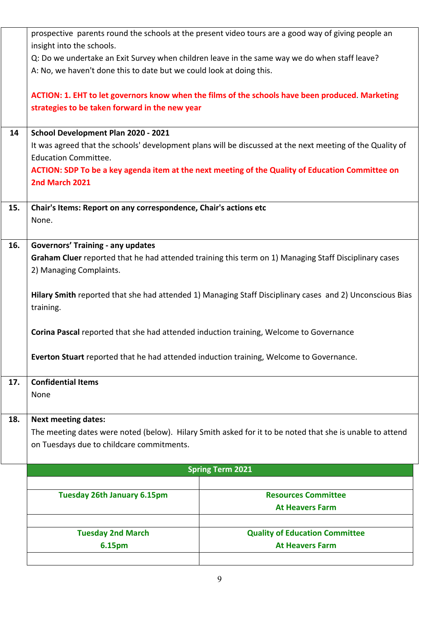|     | prospective parents round the schools at the present video tours are a good way of giving people an       |                                                                                                  |  |  |
|-----|-----------------------------------------------------------------------------------------------------------|--------------------------------------------------------------------------------------------------|--|--|
|     | insight into the schools.                                                                                 |                                                                                                  |  |  |
|     | Q: Do we undertake an Exit Survey when children leave in the same way we do when staff leave?             |                                                                                                  |  |  |
|     | A: No, we haven't done this to date but we could look at doing this.                                      |                                                                                                  |  |  |
|     |                                                                                                           | ACTION: 1. EHT to let governors know when the films of the schools have been produced. Marketing |  |  |
|     | strategies to be taken forward in the new year                                                            |                                                                                                  |  |  |
|     |                                                                                                           |                                                                                                  |  |  |
| 14  | School Development Plan 2020 - 2021                                                                       |                                                                                                  |  |  |
|     | It was agreed that the schools' development plans will be discussed at the next meeting of the Quality of |                                                                                                  |  |  |
|     | <b>Education Committee.</b>                                                                               |                                                                                                  |  |  |
|     |                                                                                                           | ACTION: SDP To be a key agenda item at the next meeting of the Quality of Education Committee on |  |  |
|     | 2nd March 2021                                                                                            |                                                                                                  |  |  |
| 15. |                                                                                                           |                                                                                                  |  |  |
|     | Chair's Items: Report on any correspondence, Chair's actions etc<br>None.                                 |                                                                                                  |  |  |
|     |                                                                                                           |                                                                                                  |  |  |
| 16. | <b>Governors' Training - any updates</b>                                                                  |                                                                                                  |  |  |
|     | Graham Cluer reported that he had attended training this term on 1) Managing Staff Disciplinary cases     |                                                                                                  |  |  |
|     | 2) Managing Complaints.                                                                                   |                                                                                                  |  |  |
|     |                                                                                                           |                                                                                                  |  |  |
|     | Hilary Smith reported that she had attended 1) Managing Staff Disciplinary cases and 2) Unconscious Bias  |                                                                                                  |  |  |
|     | training.                                                                                                 |                                                                                                  |  |  |
|     |                                                                                                           |                                                                                                  |  |  |
|     | Corina Pascal reported that she had attended induction training, Welcome to Governance                    |                                                                                                  |  |  |
|     | Everton Stuart reported that he had attended induction training, Welcome to Governance.                   |                                                                                                  |  |  |
|     |                                                                                                           |                                                                                                  |  |  |
| 17. | <b>Confidential Items</b>                                                                                 |                                                                                                  |  |  |
|     | None                                                                                                      |                                                                                                  |  |  |
|     |                                                                                                           |                                                                                                  |  |  |
| 18. | <b>Next meeting dates:</b>                                                                                |                                                                                                  |  |  |
|     | The meeting dates were noted (below). Hilary Smith asked for it to be noted that she is unable to attend  |                                                                                                  |  |  |
|     | on Tuesdays due to childcare commitments.                                                                 |                                                                                                  |  |  |
|     |                                                                                                           |                                                                                                  |  |  |
|     |                                                                                                           | <b>Spring Term 2021</b>                                                                          |  |  |
|     |                                                                                                           |                                                                                                  |  |  |
|     | <b>Tuesday 26th January 6.15pm</b>                                                                        | <b>Resources Committee</b><br><b>At Heavers Farm</b>                                             |  |  |
|     |                                                                                                           |                                                                                                  |  |  |
|     | <b>Tuesday 2nd March</b>                                                                                  | <b>Quality of Education Committee</b>                                                            |  |  |
|     | 6.15pm                                                                                                    | <b>At Heavers Farm</b>                                                                           |  |  |
|     |                                                                                                           |                                                                                                  |  |  |
|     |                                                                                                           |                                                                                                  |  |  |